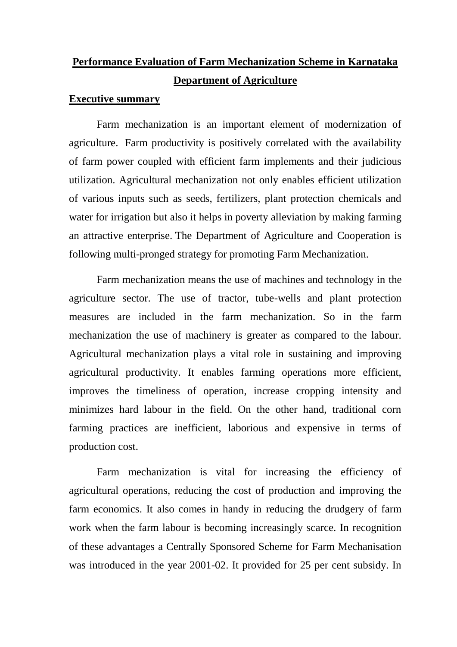# **Performance Evaluation of Farm Mechanization Scheme in Karnataka Department of Agriculture**

## **Executive summary**

Farm mechanization is an important element of modernization of agriculture. Farm productivity is positively correlated with the availability of farm power coupled with efficient farm implements and their judicious utilization. Agricultural mechanization not only enables efficient utilization of various inputs such as seeds, fertilizers, plant protection chemicals and water for irrigation but also it helps in poverty alleviation by making farming an attractive enterprise. The Department of Agriculture and Cooperation is following multi-pronged strategy for promoting Farm Mechanization.

Farm mechanization means the use of machines and technology in the agriculture sector. The use of tractor, tube-wells and plant protection measures are included in the farm mechanization. So in the farm mechanization the use of machinery is greater as compared to the labour. Agricultural mechanization plays a vital role in sustaining and improving agricultural productivity. It enables farming operations more efficient, improves the timeliness of operation, increase cropping intensity and minimizes hard labour in the field. On the other hand, traditional corn farming practices are inefficient, laborious and expensive in terms of production cost.

Farm mechanization is vital for increasing the efficiency of agricultural operations, reducing the cost of production and improving the farm economics. It also comes in handy in reducing the drudgery of farm work when the farm labour is becoming increasingly scarce. In recognition of these advantages a Centrally Sponsored Scheme for Farm Mechanisation was introduced in the year 2001-02. It provided for 25 per cent subsidy. In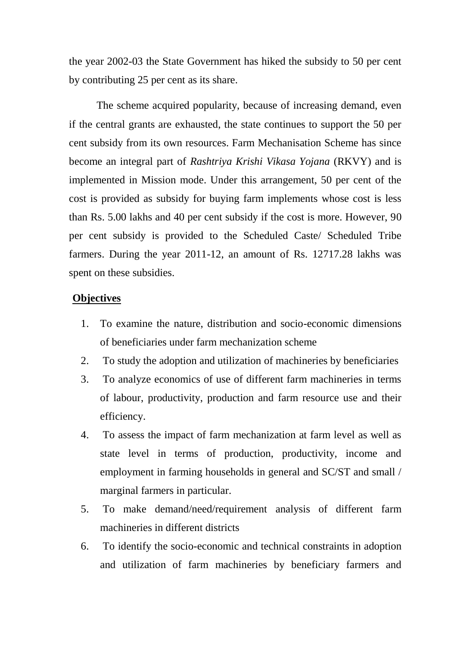the year 2002-03 the State Government has hiked the subsidy to 50 per cent by contributing 25 per cent as its share.

The scheme acquired popularity, because of increasing demand, even if the central grants are exhausted, the state continues to support the 50 per cent subsidy from its own resources. Farm Mechanisation Scheme has since become an integral part of *Rashtriya Krishi Vikasa Yojana* (RKVY) and is implemented in Mission mode. Under this arrangement, 50 per cent of the cost is provided as subsidy for buying farm implements whose cost is less than Rs. 5.00 lakhs and 40 per cent subsidy if the cost is more. However, 90 per cent subsidy is provided to the Scheduled Caste/ Scheduled Tribe farmers. During the year 2011-12, an amount of Rs. 12717.28 lakhs was spent on these subsidies.

## **Objectives**

- 1. To examine the nature, distribution and socio-economic dimensions of beneficiaries under farm mechanization scheme
- 2. To study the adoption and utilization of machineries by beneficiaries
- 3. To analyze economics of use of different farm machineries in terms of labour, productivity, production and farm resource use and their efficiency.
- 4. To assess the impact of farm mechanization at farm level as well as state level in terms of production, productivity, income and employment in farming households in general and SC/ST and small / marginal farmers in particular.
- 5. To make demand/need/requirement analysis of different farm machineries in different districts
- 6. To identify the socio-economic and technical constraints in adoption and utilization of farm machineries by beneficiary farmers and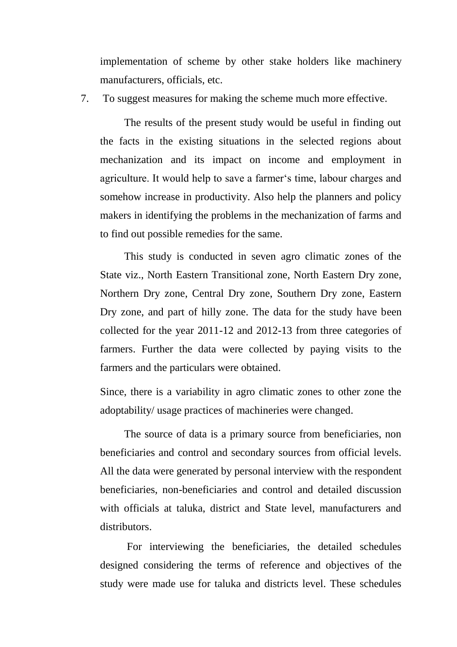implementation of scheme by other stake holders like machinery manufacturers, officials, etc.

7. To suggest measures for making the scheme much more effective.

The results of the present study would be useful in finding out the facts in the existing situations in the selected regions about mechanization and its impact on income and employment in agriculture. It would help to save a farmer's time, labour charges and somehow increase in productivity. Also help the planners and policy makers in identifying the problems in the mechanization of farms and to find out possible remedies for the same.

This study is conducted in seven agro climatic zones of the State viz., North Eastern Transitional zone, North Eastern Dry zone, Northern Dry zone, Central Dry zone, Southern Dry zone, Eastern Dry zone, and part of hilly zone. The data for the study have been collected for the year 2011-12 and 2012-13 from three categories of farmers. Further the data were collected by paying visits to the farmers and the particulars were obtained.

Since, there is a variability in agro climatic zones to other zone the adoptability/ usage practices of machineries were changed.

The source of data is a primary source from beneficiaries, non beneficiaries and control and secondary sources from official levels. All the data were generated by personal interview with the respondent beneficiaries, non-beneficiaries and control and detailed discussion with officials at taluka, district and State level, manufacturers and distributors.

For interviewing the beneficiaries, the detailed schedules designed considering the terms of reference and objectives of the study were made use for taluka and districts level. These schedules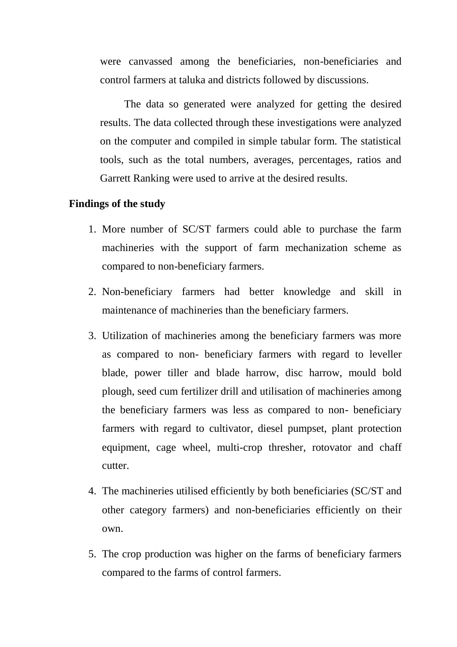were canvassed among the beneficiaries, non-beneficiaries and control farmers at taluka and districts followed by discussions.

The data so generated were analyzed for getting the desired results. The data collected through these investigations were analyzed on the computer and compiled in simple tabular form. The statistical tools, such as the total numbers, averages, percentages, ratios and Garrett Ranking were used to arrive at the desired results.

## **Findings of the study**

- 1. More number of SC/ST farmers could able to purchase the farm machineries with the support of farm mechanization scheme as compared to non-beneficiary farmers.
- 2. Non-beneficiary farmers had better knowledge and skill in maintenance of machineries than the beneficiary farmers.
- 3. Utilization of machineries among the beneficiary farmers was more as compared to non- beneficiary farmers with regard to leveller blade, power tiller and blade harrow, disc harrow, mould bold plough, seed cum fertilizer drill and utilisation of machineries among the beneficiary farmers was less as compared to non- beneficiary farmers with regard to cultivator, diesel pumpset, plant protection equipment, cage wheel, multi-crop thresher, rotovator and chaff cutter.
- 4. The machineries utilised efficiently by both beneficiaries (SC/ST and other category farmers) and non-beneficiaries efficiently on their own.
- 5. The crop production was higher on the farms of beneficiary farmers compared to the farms of control farmers.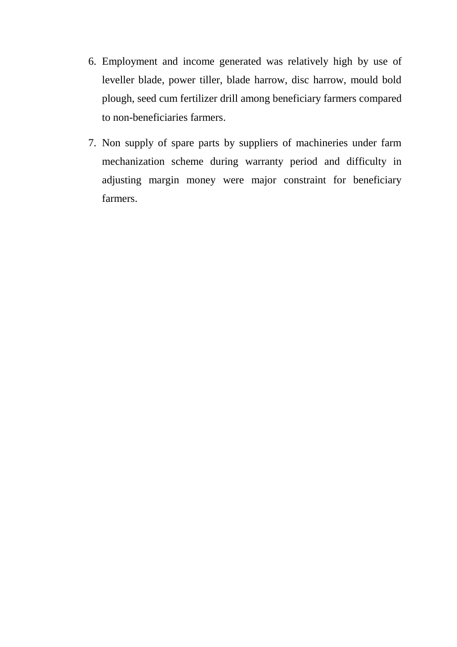- 6. Employment and income generated was relatively high by use of leveller blade, power tiller, blade harrow, disc harrow, mould bold plough, seed cum fertilizer drill among beneficiary farmers compared to non-beneficiaries farmers.
- 7. Non supply of spare parts by suppliers of machineries under farm mechanization scheme during warranty period and difficulty in adjusting margin money were major constraint for beneficiary farmers.